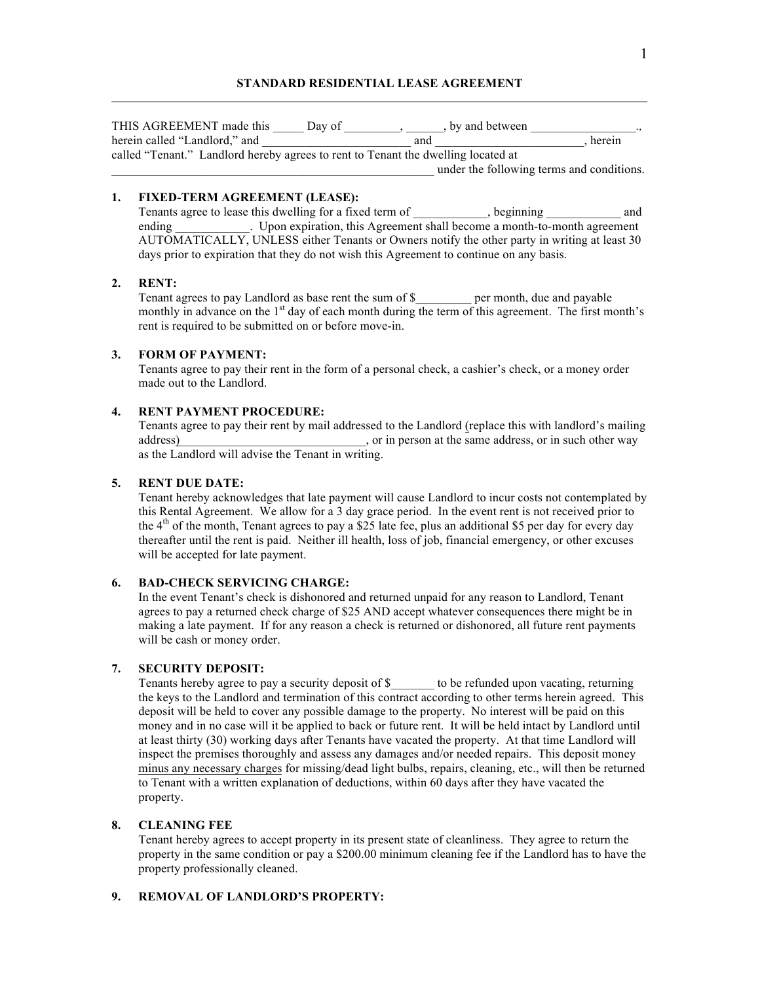# **STANDARD RESIDENTIAL LEASE AGREEMENT**

| THIS AGREEMENT made this                                                          | Day of | by and between                            | $\cdot$ , |  |
|-----------------------------------------------------------------------------------|--------|-------------------------------------------|-----------|--|
| herein called "Landlord," and                                                     |        | and                                       | herein    |  |
| called "Tenant." Landlord hereby agrees to rent to Tenant the dwelling located at |        |                                           |           |  |
|                                                                                   |        | under the following terms and conditions. |           |  |

# **1. FIXED-TERM AGREEMENT (LEASE):**

Tenants agree to lease this dwelling for a fixed term of *z*, beginning *and* ending Theorem expiration, this Agreement shall become a month-to-month agreement AUTOMATICALLY, UNLESS either Tenants or Owners notify the other party in writing at least 30 days prior to expiration that they do not wish this Agreement to continue on any basis.

### **2. RENT:**

Tenant agrees to pay Landlord as base rent the sum of \$ \_\_\_\_\_\_\_ per month, due and payable monthly in advance on the 1<sup>st</sup> day of each month during the term of this agreement. The first month's rent is required to be submitted on or before move-in.

# **3. FORM OF PAYMENT:**

Tenants agree to pay their rent in the form of a personal check, a cashier's check, or a money order made out to the Landlord.

### **4. RENT PAYMENT PROCEDURE:**

Tenants agree to pay their rent by mail addressed to the Landlord (replace this with landlord's mailing address) and  $\alpha$  or in person at the same address, or in such other way as the Landlord will advise the Tenant in writing.

# **5. RENT DUE DATE:**

Tenant hereby acknowledges that late payment will cause Landlord to incur costs not contemplated by this Rental Agreement. We allow for a 3 day grace period. In the event rent is not received prior to the  $4<sup>th</sup>$  of the month, Tenant agrees to pay a \$25 late fee, plus an additional \$5 per day for every day thereafter until the rent is paid. Neither ill health, loss of job, financial emergency, or other excuses will be accepted for late payment.

# **6. BAD-CHECK SERVICING CHARGE:**

In the event Tenant's check is dishonored and returned unpaid for any reason to Landlord, Tenant agrees to pay a returned check charge of \$25 AND accept whatever consequences there might be in making a late payment. If for any reason a check is returned or dishonored, all future rent payments will be cash or money order.

# **7. SECURITY DEPOSIT:**

Tenants hereby agree to pay a security deposit of \$  $\qquad \qquad$  to be refunded upon vacating, returning the keys to the Landlord and termination of this contract according to other terms herein agreed. This deposit will be held to cover any possible damage to the property. No interest will be paid on this money and in no case will it be applied to back or future rent. It will be held intact by Landlord until at least thirty (30) working days after Tenants have vacated the property. At that time Landlord will inspect the premises thoroughly and assess any damages and/or needed repairs. This deposit money minus any necessary charges for missing/dead light bulbs, repairs, cleaning, etc., will then be returned to Tenant with a written explanation of deductions, within 60 days after they have vacated the property.

# **8. CLEANING FEE**

Tenant hereby agrees to accept property in its present state of cleanliness. They agree to return the property in the same condition or pay a \$200.00 minimum cleaning fee if the Landlord has to have the property professionally cleaned.

# **9. REMOVAL OF LANDLORD'S PROPERTY:**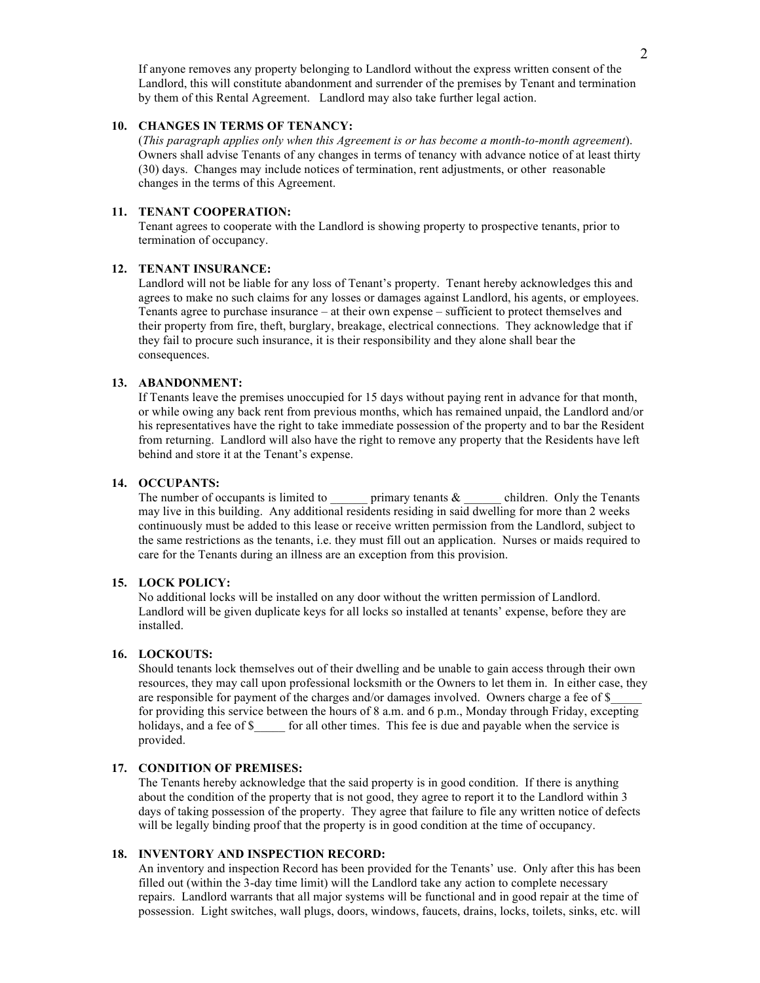If anyone removes any property belonging to Landlord without the express written consent of the Landlord, this will constitute abandonment and surrender of the premises by Tenant and termination by them of this Rental Agreement. Landlord may also take further legal action.

# **10. CHANGES IN TERMS OF TENANCY:**

(*This paragraph applies only when this Agreement is or has become a month-to-month agreement*). Owners shall advise Tenants of any changes in terms of tenancy with advance notice of at least thirty (30) days. Changes may include notices of termination, rent adjustments, or other reasonable changes in the terms of this Agreement.

# **11. TENANT COOPERATION:**

Tenant agrees to cooperate with the Landlord is showing property to prospective tenants, prior to termination of occupancy.

### **12. TENANT INSURANCE:**

Landlord will not be liable for any loss of Tenant's property. Tenant hereby acknowledges this and agrees to make no such claims for any losses or damages against Landlord, his agents, or employees. Tenants agree to purchase insurance – at their own expense – sufficient to protect themselves and their property from fire, theft, burglary, breakage, electrical connections. They acknowledge that if they fail to procure such insurance, it is their responsibility and they alone shall bear the consequences.

#### **13. ABANDONMENT:**

If Tenants leave the premises unoccupied for 15 days without paying rent in advance for that month, or while owing any back rent from previous months, which has remained unpaid, the Landlord and/or his representatives have the right to take immediate possession of the property and to bar the Resident from returning. Landlord will also have the right to remove any property that the Residents have left behind and store it at the Tenant's expense.

# **14. OCCUPANTS:**

The number of occupants is limited to  $\_\_\_\_\$ primary tenants &  $\_\_\_\_$ children. Only the Tenants may live in this building. Any additional residents residing in said dwelling for more than 2 weeks continuously must be added to this lease or receive written permission from the Landlord, subject to the same restrictions as the tenants, i.e. they must fill out an application. Nurses or maids required to care for the Tenants during an illness are an exception from this provision.

# **15. LOCK POLICY:**

No additional locks will be installed on any door without the written permission of Landlord. Landlord will be given duplicate keys for all locks so installed at tenants' expense, before they are installed.

### **16. LOCKOUTS:**

Should tenants lock themselves out of their dwelling and be unable to gain access through their own resources, they may call upon professional locksmith or the Owners to let them in. In either case, they are responsible for payment of the charges and/or damages involved. Owners charge a fee of \$ for providing this service between the hours of 8 a.m. and 6 p.m., Monday through Friday, excepting holidays, and a fee of \$ for all other times. This fee is due and payable when the service is provided.

### **17. CONDITION OF PREMISES:**

The Tenants hereby acknowledge that the said property is in good condition. If there is anything about the condition of the property that is not good, they agree to report it to the Landlord within 3 days of taking possession of the property. They agree that failure to file any written notice of defects will be legally binding proof that the property is in good condition at the time of occupancy.

### **18. INVENTORY AND INSPECTION RECORD:**

An inventory and inspection Record has been provided for the Tenants' use. Only after this has been filled out (within the 3-day time limit) will the Landlord take any action to complete necessary repairs. Landlord warrants that all major systems will be functional and in good repair at the time of possession. Light switches, wall plugs, doors, windows, faucets, drains, locks, toilets, sinks, etc. will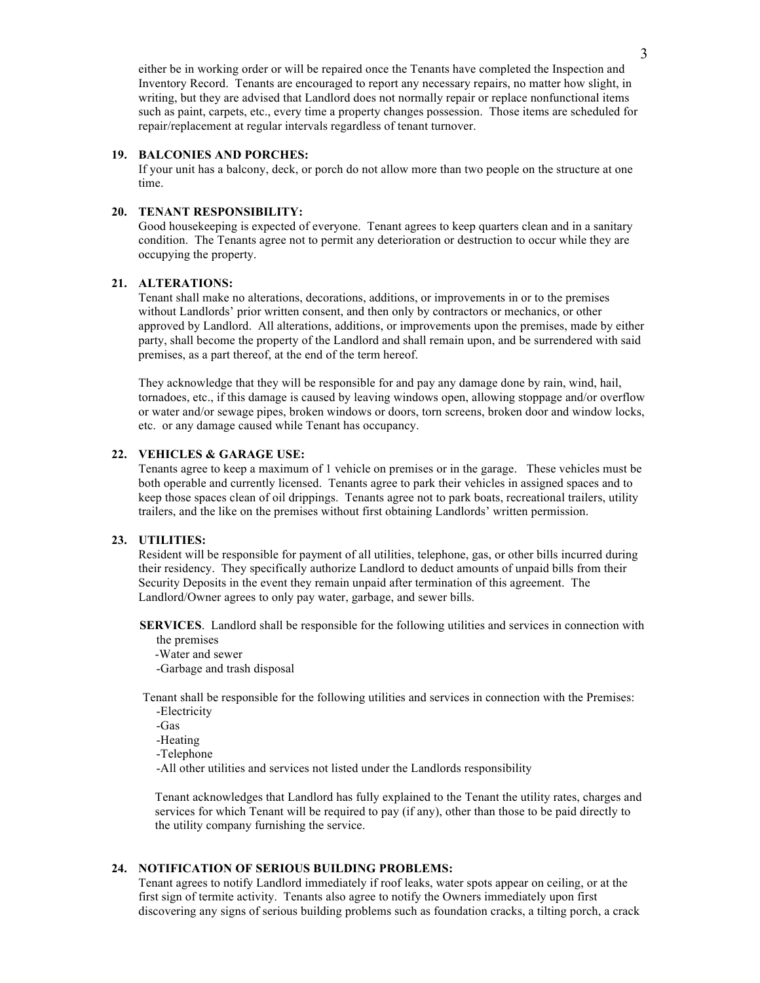either be in working order or will be repaired once the Tenants have completed the Inspection and Inventory Record. Tenants are encouraged to report any necessary repairs, no matter how slight, in writing, but they are advised that Landlord does not normally repair or replace nonfunctional items such as paint, carpets, etc., every time a property changes possession. Those items are scheduled for repair/replacement at regular intervals regardless of tenant turnover.

#### **19. BALCONIES AND PORCHES:**

If your unit has a balcony, deck, or porch do not allow more than two people on the structure at one time.

# **20. TENANT RESPONSIBILITY:**

Good housekeeping is expected of everyone. Tenant agrees to keep quarters clean and in a sanitary condition. The Tenants agree not to permit any deterioration or destruction to occur while they are occupying the property.

### **21. ALTERATIONS:**

Tenant shall make no alterations, decorations, additions, or improvements in or to the premises without Landlords' prior written consent, and then only by contractors or mechanics, or other approved by Landlord. All alterations, additions, or improvements upon the premises, made by either party, shall become the property of the Landlord and shall remain upon, and be surrendered with said premises, as a part thereof, at the end of the term hereof.

They acknowledge that they will be responsible for and pay any damage done by rain, wind, hail, tornadoes, etc., if this damage is caused by leaving windows open, allowing stoppage and/or overflow or water and/or sewage pipes, broken windows or doors, torn screens, broken door and window locks, etc. or any damage caused while Tenant has occupancy.

# **22. VEHICLES & GARAGE USE:**

Tenants agree to keep a maximum of 1 vehicle on premises or in the garage. These vehicles must be both operable and currently licensed. Tenants agree to park their vehicles in assigned spaces and to keep those spaces clean of oil drippings. Tenants agree not to park boats, recreational trailers, utility trailers, and the like on the premises without first obtaining Landlords' written permission.

#### **23. UTILITIES:**

Resident will be responsible for payment of all utilities, telephone, gas, or other bills incurred during their residency. They specifically authorize Landlord to deduct amounts of unpaid bills from their Security Deposits in the event they remain unpaid after termination of this agreement. The Landlord/Owner agrees to only pay water, garbage, and sewer bills.

 **SERVICES**. Landlord shall be responsible for the following utilities and services in connection with the premises

 -Water and sewer -Garbage and trash disposal

 Tenant shall be responsible for the following utilities and services in connection with the Premises: -Electricity

-Gas

-Heating

-Telephone

-All other utilities and services not listed under the Landlords responsibility

 Tenant acknowledges that Landlord has fully explained to the Tenant the utility rates, charges and services for which Tenant will be required to pay (if any), other than those to be paid directly to the utility company furnishing the service.

# **24. NOTIFICATION OF SERIOUS BUILDING PROBLEMS:**

Tenant agrees to notify Landlord immediately if roof leaks, water spots appear on ceiling, or at the first sign of termite activity. Tenants also agree to notify the Owners immediately upon first discovering any signs of serious building problems such as foundation cracks, a tilting porch, a crack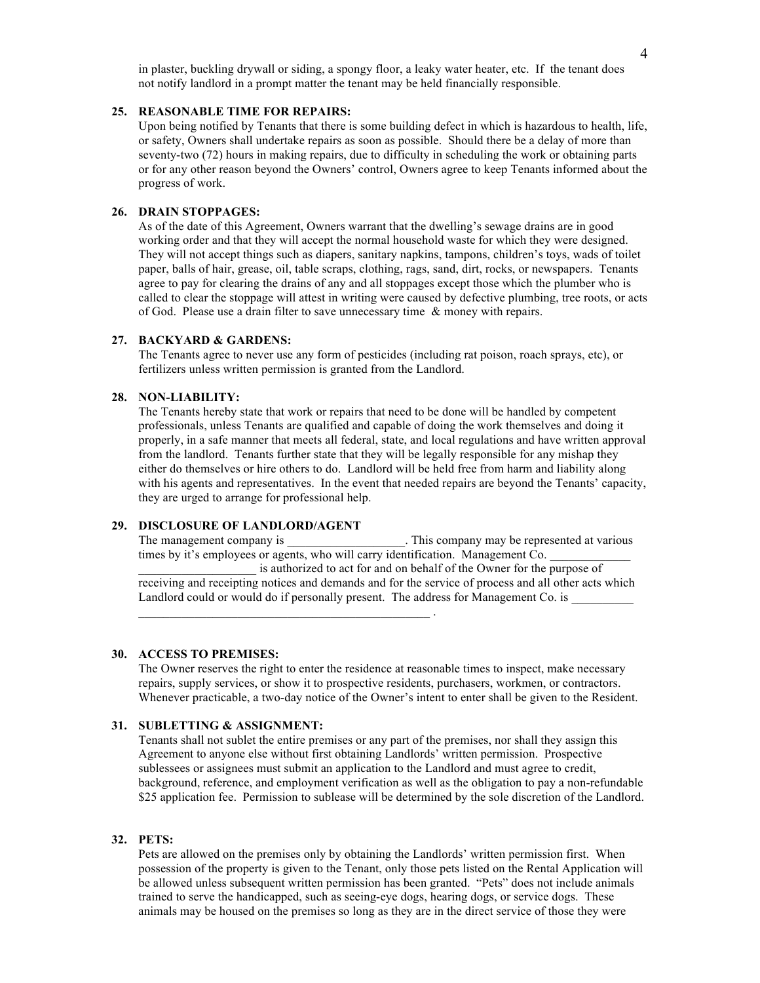### **25. REASONABLE TIME FOR REPAIRS:**

Upon being notified by Tenants that there is some building defect in which is hazardous to health, life, or safety, Owners shall undertake repairs as soon as possible. Should there be a delay of more than seventy-two (72) hours in making repairs, due to difficulty in scheduling the work or obtaining parts or for any other reason beyond the Owners' control, Owners agree to keep Tenants informed about the progress of work.

# **26. DRAIN STOPPAGES:**

As of the date of this Agreement, Owners warrant that the dwelling's sewage drains are in good working order and that they will accept the normal household waste for which they were designed. They will not accept things such as diapers, sanitary napkins, tampons, children's toys, wads of toilet paper, balls of hair, grease, oil, table scraps, clothing, rags, sand, dirt, rocks, or newspapers. Tenants agree to pay for clearing the drains of any and all stoppages except those which the plumber who is called to clear the stoppage will attest in writing were caused by defective plumbing, tree roots, or acts of God. Please use a drain filter to save unnecessary time & money with repairs.

#### **27. BACKYARD & GARDENS:**

The Tenants agree to never use any form of pesticides (including rat poison, roach sprays, etc), or fertilizers unless written permission is granted from the Landlord.

#### **28. NON-LIABILITY:**

The Tenants hereby state that work or repairs that need to be done will be handled by competent professionals, unless Tenants are qualified and capable of doing the work themselves and doing it properly, in a safe manner that meets all federal, state, and local regulations and have written approval from the landlord. Tenants further state that they will be legally responsible for any mishap they either do themselves or hire others to do. Landlord will be held free from harm and liability along with his agents and representatives. In the event that needed repairs are beyond the Tenants' capacity, they are urged to arrange for professional help.

# **29. DISCLOSURE OF LANDLORD/AGENT**

The management company is This company may be represented at various The management company is times by it's employees or agents, who will carry identification. Management Co. is authorized to act for and on behalf of the Owner for the purpose of

receiving and receipting notices and demands and for the service of process and all other acts which Landlord could or would do if personally present. The address for Management Co. is \_\_\_\_\_\_\_\_\_\_\_\_\_\_\_\_\_\_\_\_\_\_\_\_\_\_\_\_\_\_\_\_\_\_\_\_\_\_\_\_\_\_\_\_\_\_\_ .

### **30. ACCESS TO PREMISES:**

The Owner reserves the right to enter the residence at reasonable times to inspect, make necessary repairs, supply services, or show it to prospective residents, purchasers, workmen, or contractors. Whenever practicable, a two-day notice of the Owner's intent to enter shall be given to the Resident.

# **31. SUBLETTING & ASSIGNMENT:**

Tenants shall not sublet the entire premises or any part of the premises, nor shall they assign this Agreement to anyone else without first obtaining Landlords' written permission. Prospective sublessees or assignees must submit an application to the Landlord and must agree to credit, background, reference, and employment verification as well as the obligation to pay a non-refundable \$25 application fee. Permission to sublease will be determined by the sole discretion of the Landlord.

# **32. PETS:**

Pets are allowed on the premises only by obtaining the Landlords' written permission first. When possession of the property is given to the Tenant, only those pets listed on the Rental Application will be allowed unless subsequent written permission has been granted. "Pets" does not include animals trained to serve the handicapped, such as seeing-eye dogs, hearing dogs, or service dogs. These animals may be housed on the premises so long as they are in the direct service of those they were